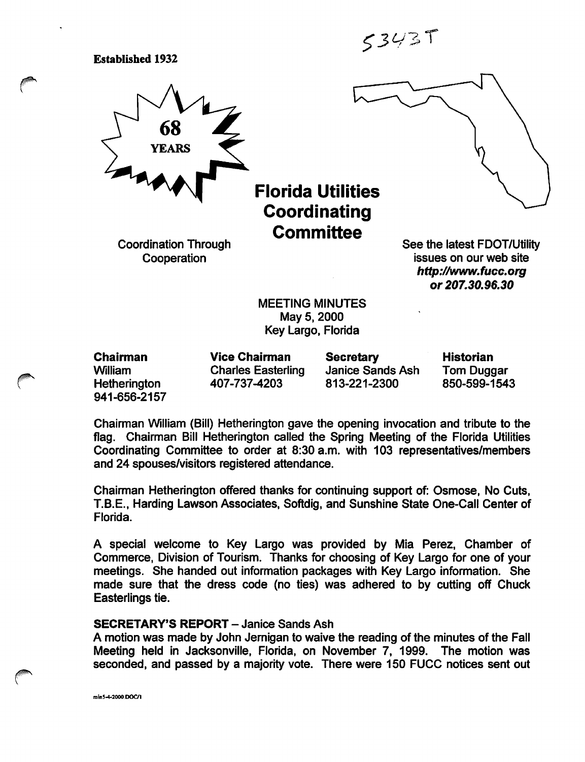$53437$ 

Established 1932



Florida Utilities **Coordinating Committee** 

Coordination Through **Cooperation** 

See the latest FDOT/Utility issues on our web site http://www.fucc.org or 207.30.96.30

MEETING MINUTES May 5, 2000 Key Largo, Florida

Chairman William **Hetherington** 941-656-2157 Vice Chairman Charles Easterling 407-737-4203

**Secretary** Janice Sands Ash 813-221-2300

Historian Tom Duggar 850-599-1543

Chairman William (Bill) Hetherington gave the opening invocation and tribute to the flag. Chairman Bill Hetherington called the Spring Meeting of the Florida Utilities Coordinating Committee to order at 8:30 a.m. with 103 representatives/members and 24 spouses/visitors registered attendance.

Chairman Hetherington offered thanks for continuing support of: Osmose, No Cuts, T.B.E., Harding Lawson Associates, Softdig, and Sunshine State One-Call Center of Florida.

A special welcome to Key Largo was provided by Mia Perez, Chamber of Commerce, Division of Tourism. Thanks for choosing of Key Largo for one of your meetings. She handed out information packages with Key Largo information. She made sure that the dress code (no ties) was adhered to by cutting off Chuck Easterlings tie.

## SECRETARY'S REPORT - Janice Sands Ash

A motion was made by John Jemigan to waive the reading of the minutes of the Fall Meeting held in Jacksonville, Florida, on November 7, 1999. The motion was seconded, and passed by a majority vote. There were 150 FUCC notices sent out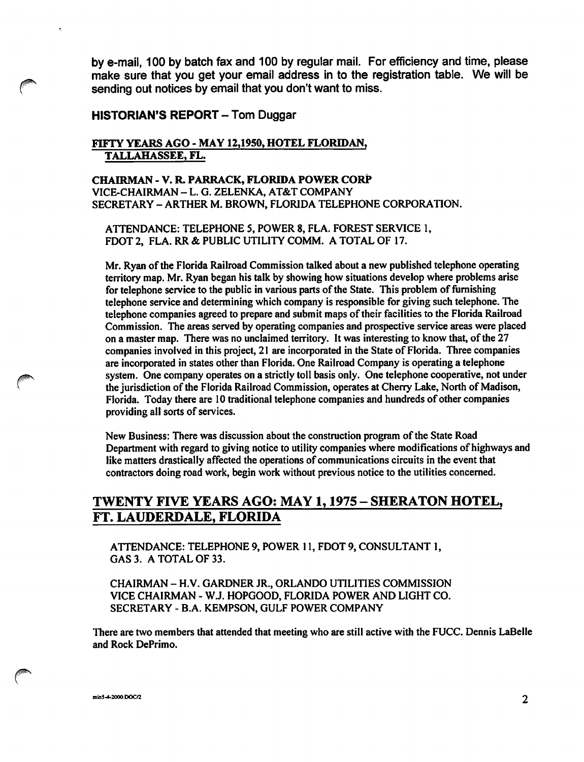by e-mail, 100 by batch fax and 100 by regular mall. For efficiency and time, please make sure that you get your email address in to the registration table. We will be sending out notices by email that you don't want to miss.

## HISTORIAN'S REPORT - Tom Duggar

## FIFTY YEARS AGO - MAY 12,1950, HOTEL FLORIDAN, TALLAHASSEE, FL.

CHAIRMAN - V. R. PARRACK, FLORIDA POWER CORP VICE-CHAIRMAN - L. G. ZELENKA, AT&T COMPANY SECRETARY - ARTHER M. BROWN, FLORIDA TELEPHONE CORPORATION.

ATTENDANCE: TELEPHONE 5, POWER 8, FLA. FOREST SERVICE 1, FDOT 2, FLA. RR & PUBLIC UTILITY COMM. A TOTAL OF 17.

Mr. Ryan of the Florida Railroad Commission talked about a new published telephone operating territory map. Mr. Ryan began his talk by showing how situations develop where problems arise for telephone service to the public in various parts of the State. This problem of furnishing telephone service and determining which company is responsible for giving such telephone. The telephone companies agreed to prepare and submit maps of their facilities to the Florida Railroad Commission. The areas served by operating companies and prospective service areas were placed on a master map. There was no unclaimed territory. It was interesting to know that, of the 27 companies involved in this project, 21 are incorporated in the State of Florida. Three companies are incorporated in states other than Florida. One Railroad Company is operating a telephone system. One company operates on a strictly toll basis only. One telephone cooperative, not under the jurisdiction of the Florida Railroad Commission, operates at Cherry Lake, North of Madison, Florida. Today there are 10 traditional telephone companies and hundreds of other companies providing all sorts of services.

New Business: There was discussion about the construction program of the State Road Department with regard to giving notice to utility companies where modifications of highways and like matters drastically affected the operations of communications circuits in the event that contractors doing road work, begin work without previous notice to the utilities concerned.

# TWENTY FIVE YEARS AGO; MAY 1,1975 - SHERATON HOTEL, FT. LAUDERDALE, FLORIDA

ATTENDANCE: TELEPHONE 9, POWER 11, FDOT 9, CONSULTANT I, GAS 3. A TOTAL OF 33.

CHAIRMAN - H.V. GARDNER JR., ORLANDO UTILITIES COMMISSION VICE CHAIRMAN - W.J. HOPGOOD, FLORIDA POWER AND LIGHT CO. SECRETARY - B.A. KEMPSON, GULF POWER COMPANY

There are two members that attended that meeting who are still active with the FUCC. Dennis LaBelle and Rock DePrimo.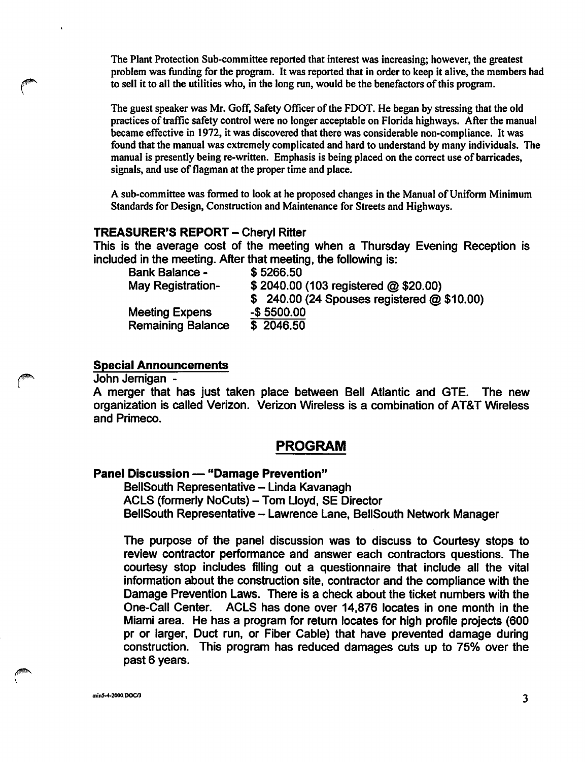The Plant Protection Sub-committee reported that interest was increasing; however, the greatest problem was funding for the program. It was reported that in order to keep it alive, the members had to sell it to all the utilities who, in the long run, would be the benefactors of this program.

The guest speaker was Mr. GofF, Safety Officer of the FOOT. He began by stressing that the old practices of traffic safety control were no longer acceptable on Florida highways. After the manual became effective in 1972, it was discovered that there was considerable non-compliance. It was found that the manual was extremely complicated and hard to understand by many individuals. The manual is presently being re-written. Emphasis is being placed on the correct use of barricades, signals, and use of flagman at the proper time and place.

A sub-committee was formed to look at he proposed changes in the Manual of Uniform Minimum Standards for Design, Construction and Maintenance for Streets and Highways.

## TREASURER'S REPORT - Cheryl Ritter

This is the average cost of the meeting when a Thursday Evening Reception is included in the meeting. After that meeting, the following is:

| <b>Bank Balance -</b>    | \$5266.50                                  |
|--------------------------|--------------------------------------------|
| <b>May Registration-</b> | \$2040.00 (103 registered @ \$20.00)       |
|                          | \$240.00 (24 Spouses registered @ \$10.00) |
| <b>Meeting Expens</b>    | $-$5500.00$                                |
| <b>Remaining Balance</b> | \$ 2046.50                                 |

## Special Announcements

John Jernigan -

A merger that has just taken place between Bell Atlantic and GTE. The new organization is called Verizon. Verizon Wireless is a combination of AT&T Wireless and Primeco.

# PROGRAM

#### Panel Discussion — "Damage Prevention"

BellSouth Representative - Linda Kavanagh ACLS (formerly NoCuts) - Tom Lloyd, SE Director BellSouth Representative - Lawrence Lane, BellSouth Network Manager

The purpose of the panel discussion was to discuss to Courtesy stops to review contractor performance and answer each contractors questions. The courtesy stop includes filling out a questionnaire that include all the vital information about the construction site, contractor and the compliance with the Damage Prevention Laws. There is a check about the ticket numbers with the One-Call Center. ACLS has done over 14,876 locates in one month in the Miami area. He has a program for return locates for high profile projects (600 pr or larger. Duct run, or Fiber Cable) that have prevented damage during construction. This program has reduced damages cuts up to 75% over the past 6 years.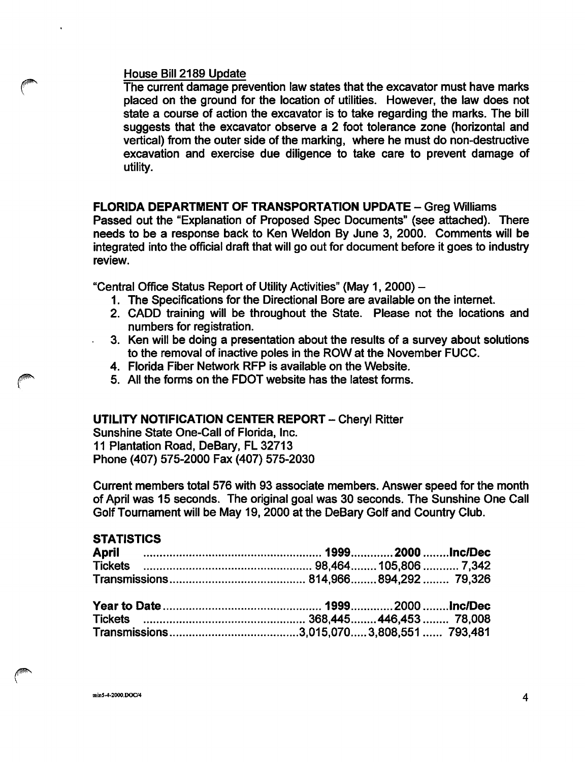## House Bill 2189 Update

The current damage prevention law states that the excavator must have marks placed on the ground for the location of utilities. However, the law does not state a course of action the excavator is to take regarding the marks. The bill suggests that the excavator observe a 2 foot tolerance zone (horizontal and vertical) from the outer side of the marking, where he must do non-destructive excavation and exercise due diligence to take care to prevent damage of utility.

# FLORIDA DEPARTMENT OF TRANSPORTATION UPDATE - Greg Williams

Passed out the "Explanation of Proposed Spec Documents" (see attached). There needs to be a response back to Ken Weldon By June 3, 2000. Comments will be integrated into the official draft that will go out for document before it goes to industry review.

"Central Office Status Report of Utility Activities" (May 1, 2000) -

- 1. The Specifications for the Directional Bore are available on the internet.
- 2. CADD training will be throughout the State. Please not the locations and numbers for registration.
- 3. Ken will be doing a presentation about the results of a survey about solutions to the removal of inactive poles in the ROW at the November FUCC.
- 4. Florida Fiber Network RFP is available on the Website.
- 5. All the forms on the FDOT website has the latest forms.

## UTILITY NOTIFICATION CENTER REPORT - Cheryl Ritter

Sunshine State One-Call of Florida, Inc. 11 Plantation Road, DeBary, FL 32713 Phone (407) 575-2000 Fax (407) 575-2030

Current members total 576 with 93 associate members. Answer speed for the month of April was 15 seconds. The original goal was 30 seconds. The Sunshine One Call Golf Tournament will be May 19, 2000 at the DeBary Golf and Country Club.

# **STATISTICS**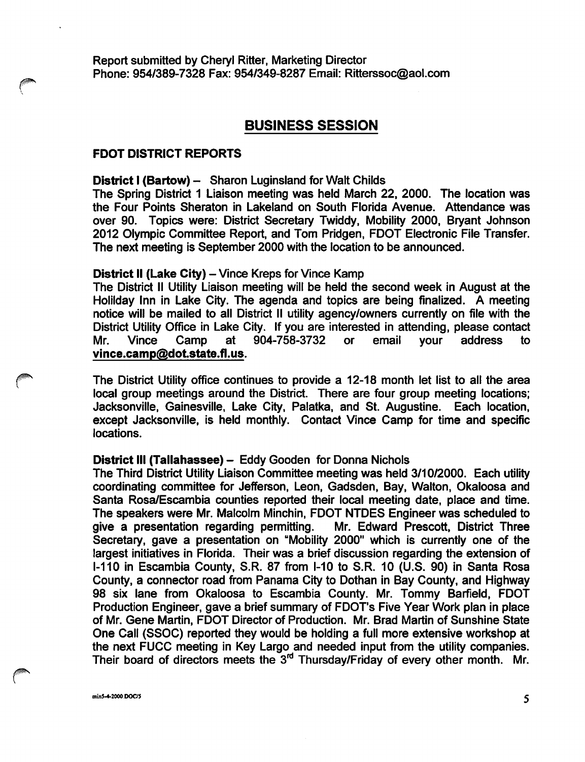Report submitted by Cheryl Ritter, Marketing Director Phone: 954/389-7328 Fax: 954/349-8287 Email: Ritterssoc@aol.com

## BUSINESS SESSION

## FOOT DISTRICT REPORTS

#### District I (Bartow) - Sharon Luginsland for Walt Childs

The Spring District 1 Liaison meeting was held March 22, 2000. The location was the Four Points Sheraton in Lakeland on South Florida Avenue. Attendance was over 90. Topics were: District Secretary Twiddy, Mobility 2000, Bryant Johnson 2012 Olympic Committee Report, and Tom Pridgen, FDOT Electronic File Transfer. The next meeting is September 2000 with the location to be announced.

#### District II (Lake City) - Vince Kreps for Vince Kamp

The District II Utility Liaison meeting will be held the second week in August at the Holilday Inn in Lake City. The agenda and topics are being finalized. A meeting notice will be mailed to all District II utility agency/owners currently on file with the District Utility Office in Lake City. If you are interested in attending, please contact Mr. Vince Camp at 904-758-3732 or email your address to vince.camp@dot.state.fl.us.

The District Utility office continues to provide a 12-18 month let list to all the area local group meetings around the District. There are four group meeting locations; Jacksonville, Gainesville, Lake City, Palatka, and St. Augustine. Each location, except Jacksonville, is held monthly. Contact Vince Camp for time and specific locations.

#### District III (Tallahassee) - Eddy Gooden for Donna Nichols

The Third District Utility Liaison Committee meeting was held 3/10/2000. Each utility coordinating committee for Jefferson, Leon, Gadsden, Bay, Walton, Okaloosa and Santa Rosa/Escambia counties reported their local meeting date, place and time. The speakers were Mr. Malcolm Minchin, FDOT NTDES Engineer was scheduled to give a presentation regarding permitting. Mr. Edward Prescott, District Three Secretary, gave a presentation on "Mobility 2000" which is currently one of the largest initiatives in Florida. Their was a brief discussion regarding the extension of 1-110 in Escambia County, S.R. 87 from 1-10 to S.R. 10 (U.S. 90) in Santa Rosa County, a connector road from Panama City to Dothan in Bay County, and Highway 98 six lane from Okaloosa to Escambia County. Mr. Tommy Barfield, FDOT Production Engineer, gave a brief summary of FDOT's Five Year Work plan in place of Mr. Gene Martin, FDOT Director of Production. Mr. Brad Martin of Sunshine State One Call (SSOC) reported they would be holding a full more extensive workshop at the next FUCC meeting in Key Largo and needed input from the utility companies. Their board of directors meets the 3"\* Thursday/Friday of every other month. Mr.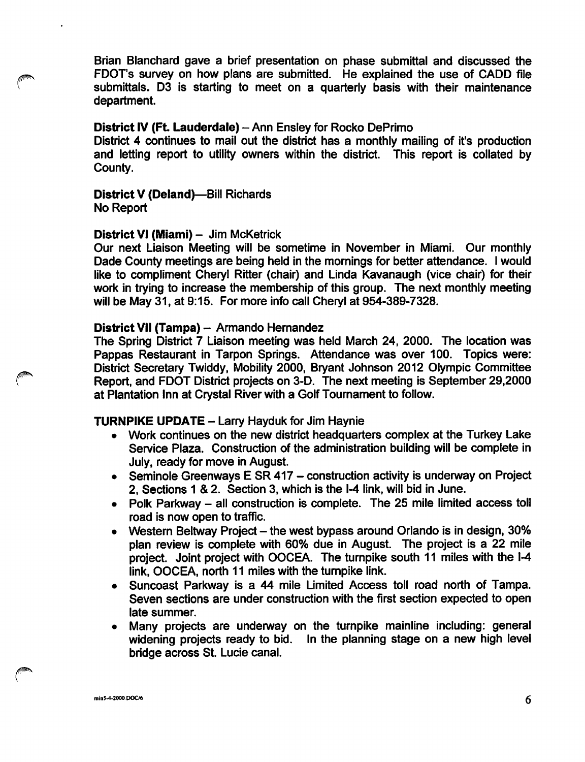Brian Blanchard gave a brief presentation on phase submittal and discussed the FDOT's survey on how plans are submitted. He explained the use of CADD file submittals. D3 is starting to meet on a quarterly basis with their maintenance department.

## District IV (Ft. Lauderdale) - Ann Ensley for Rocko DePrimo

District 4 continues to mail out the district has a monthly mailing of it's production and letting report to utility owners within the district. This report is collated by County.

## District V (Deland)—Bill Richards No Report

## District VI (Miami) - Jim McKetrick

Our next Liaison Meeting will be sometime in November in Miami. Our monthly Dade County meetings are being held in the mornings for better attendance. I would like to compliment Cheryl Ritter (chair) and Linda Kavanaugh (vice chair) for their work in trying to increase the membership of this group. The next monthly meeting will be May 31, at 9:15. For more info call Cheryl at 954-389-7328.

## District VII (Tampa) - Armando Hernandez

The Spring District 7 Liaison meeting was held March 24, 2000. The location was Pappas Restaurant in Tarpon Springs. Attendance was over 100. Topics were: District Secretary Twiddy, Mobility 2000, Bryant Johnson 2012 Olympic Committee Report, and FDOT District projects on 3-D. The next meeting is September 29,2000 at Plantation Inn at Crystal River with a Golf Toumament to follow.

## **TURNPIKE UPDATE - Larry Hayduk for Jim Haynie**

- Work continues on the new district headquarters complex at the Turkey Lake Service Plaza. Construction of the administration building will be complete in July, ready for move in August.
- Seminole Greenways  $E$  SR 417 construction activity is underway on Project 2, Sections 1 & 2. Section 3, which is the 1-4 link, will bid in June.
- Polk Parkway all construction is complete. The 25 mile limited access toll road is now open to traffic.
- Western Beltway Project the west bypass around Orlando is in design, 30% plan review is complete with 60% due in August. The project is a 22 mile project. Joint project with OOCEA. The turnpike south 11 miles with the 1-4 link, OOCEA, north 11 miles with the tumpike link.
- Suncoast Parkway is a 44 mile Limited Access toll road north of Tampa. Seven sections are under construction with the first section expected to open late summer.
- Many projects are underway on the tumpike mainline including: general In the planning stage on a new high level bridge across St. Lucie canal.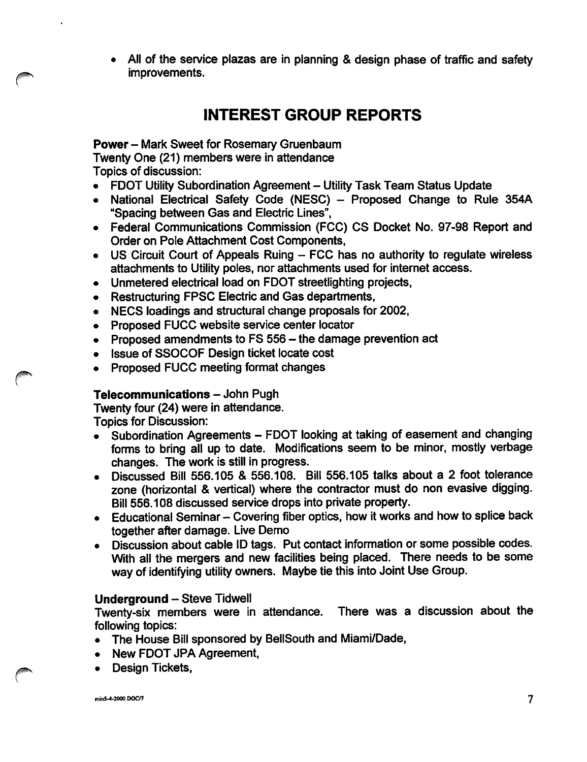All of the service plazas are in planning & design phase of traffic and safety improvements.

# INTEREST GROUP REPORTS

# Power - Mark Sweet for Rosemary Gruenbaum

Twenty One (21) members were in attendance

Topics of discussion:

- FDOT Utility Subordination Agreement Utility Task Team Status Update<br>• National Electrical Safety Code (NESC) Proposed Change to Rule
- National Electrical Safety Code (NESC) Proposed Change to Rule 354A "Spacing between Gas and Electric Lines",
- Federal Communications Commission (FCC) CS Docket No. 97-98 Report and Order on Pole Attachment Cost Components,
- $\bullet$  US Circuit Court of Appeals Ruing  $-$  FCC has no authority to regulate wireless attachments to Utility poles, nor attachments used for internet access.
- Unmetered electrical load on FOOT streetlighting projects,
- Restructuring FPSC Electric and Gas departments,
- NECS loadings and structural change proposals for 2002,
- Proposed FUCC website service center locator
- Proposed amendments to  $FS$  556  $-$  the damage prevention act
- Issue of SSOCOF Design ticket locate cost
- Proposed FUCC meeting format changes

# Telecommunications - John Pugh

Twenty four (24) were in attendance.

Topics for Discussion:

- Subordination Agreements FDOT looking at taking of easement and changing forms to bring all up to date. Modifications seem to be minor, mostly verbage changes. The work is still in progress.
- Discussed Bill 556.105 & 556.108. Bill 556.105 talks about a 2 foot tolerance zone (horizontal & vertical) where the contractor must do non evasive digging. Bill 556.108 discussed senrice drops into private property.
- Educational Seminar Covering fiber optics, how it works and how to splice back together after damage. Live Demo
- Discussion about cable ID tags. Put contact information or some possible codes. With all the mergers and new facilities being placed. There needs to be some way of identifying utility owners. Maybe tie this into Joint Use Group.

# Underground - Steve Tidwell

Twenty-six members were in attendance. There was a discussion about the following topics:

- The House Bill sponsored by BellSouth and Miami/Dade,
- New FDOT JPA Agreement,
- Design Tickets.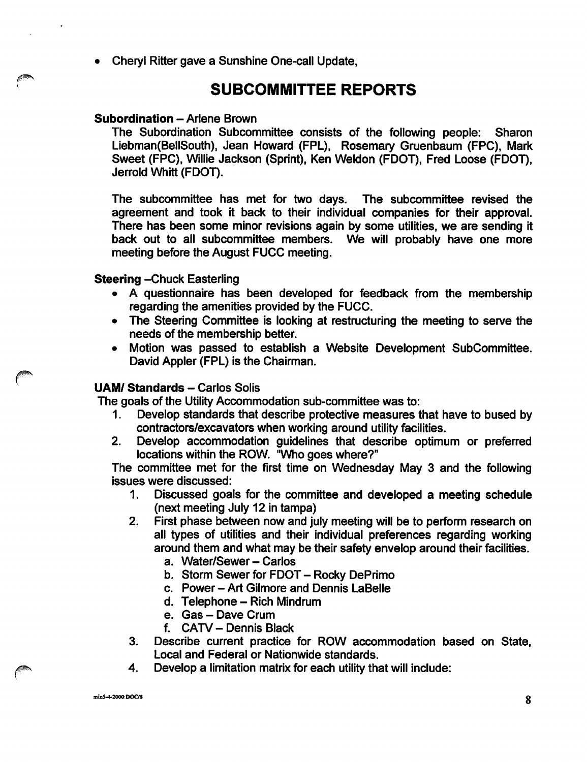• Cheryl Ritter gave a Sunshine One-call Update,

# SUBCOMMITTEE REPORTS

# Subordination - Arlene Brown

The Subordination Subcommittee consists of the following people: Sharon Liebman(BellSouth), Jean Howard (FPL), Rosemary Gruenbaum (FPC), Mark Sweet (FPC), Willie Jackson (Sprint), Ken Weldon (FOOT), Fred Loose (FOOT), Jerrold Whitt (FOOT).

The subcommittee has met for two days. The subcommittee revised the agreement and took it back to their individual companies for their approval. There has been some minor revisions again by some utilities, we are sending it back out to all subcommittee members. We will probably have one more meeting before the August FUCC meeting.

# **Steering - Chuck Easterling**

- A questionnaire has been developed for feedback from the membership regarding the amenities provided by the FUCC.
- The Steering Committee is looking at restructuring the meeting to serve the needs of the membership better.
- Motion was passed to establish a Website Development Subcommittee. David Appler (FPL) is the Chairman.

# UAM/ Standards - Carlos Solis

The goals of the Utility Accommodation sub-committee was to:

- 1. Develop standards that describe protective measures that have to bused by contractors/excavators when working around utility facilities.
- 2. Develop accommodation guidelines that describe optimum or preferred locations within the ROW. "Who goes where?"

The committee met for the first time on Wednesday May 3 and the following Issues were discussed:

- 1. Discussed goals for the committee and developed a meeting schedule (next meeting July 12 In tampa)
- 2. First phase between now and july meeting will be to perform research on all types of utilities and their individual preferences regarding working around them and what may be their safety envelop around their facilities.
	- a. Water/Sewer Carlos
	- b. Storm Sewer for FDOT Rocky DePrimo
	- c. Power Art Gllmore and Dennis LaBelle
	- d. Telephone Rich Mindrum
	- e. Gas Dave Crum
	- f. CATV Dennis Black
- 3. Describe current practice for ROW accommodation based on State, Local and Federal or Nationwide standards.
- 4. Develop a limitation matrix for each utility that will include: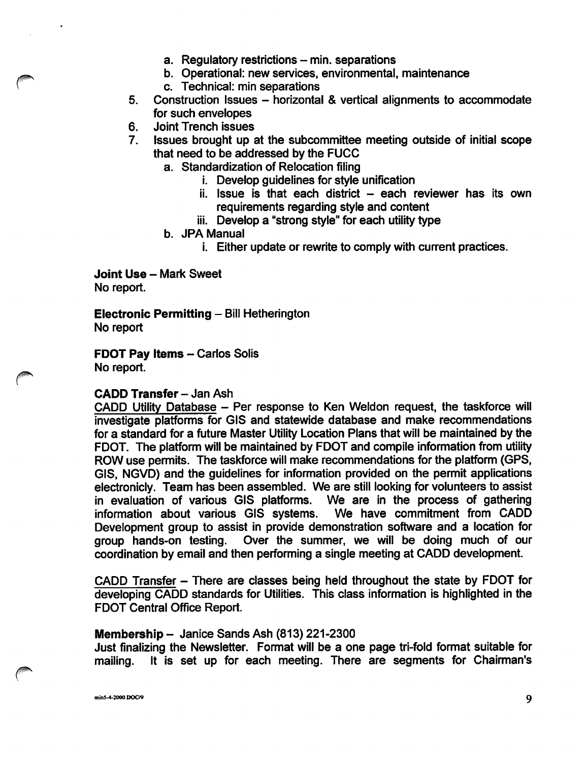- a. Regulatory restrictions min. separations
- b. Operational: new services, environmental, maintenance
- c. Technical: min separations
- 5. Construction Issues horizontal & vertical alignments to accommodate for such envelopes
- 6. Joint Trench issues
- 7. Issues brought up at the subcommittee meeting outside of initial scope that need to be addressed by the FUGG
	- a. Standardization of Relocation filing
		- i. Develop guidelines for style unification
		- $i$ i. Issue is that each district  $-$  each reviewer has its own requirements regarding style and content
		- iii. Develop a "strong style" for each utility type
	- b. JPA Manual
		- i. Either update or rewrite to comply with current practices.

Joint Use - Mark Sweet No report.

Electronic Permitting - Bill Hetherington No report

FDOT Pay Items - Carlos Solis No report.

## CADD Transfer - Jan Ash

GADD Utility Database - Per response to Ken Weldon request, the taskforce will investigate platforms for GIS and statewide database and make recommendations for a standard for a future Master Utility Location Plans that will be maintained by the FDOT. The platform will be maintained by FDOT and compile information from utility ROW use permits. The taskforce will make recommendations for the platform (GPS, GIS, NGVD) and the guidelines for information provided on the permit applications electronicly. Team has been assembled. We are still looking for volunteers to assist in evaluation of various GIS platforms. We are in the process of gathering information about various GIS systems. Development group to assist in provide demonstration software and a location for group hands-on testing. Over the summer, we will be doing much of our Over the summer, we will be doing much of our coordination by email and then performing a single meeting at GADD development.

GADD Transfer - There are classes being held throughout the state by FDOT for developing GADD standards for Utilities. This class information is highlighted in the FDOT Central Office Report.

## Membership  $-$  Janice Sands Ash (813) 221-2300

Just finalizing the Newsletter. Format will be a one page tri-fold format suitable for mailing. It is set up for each meeting. There are segments for Chairman's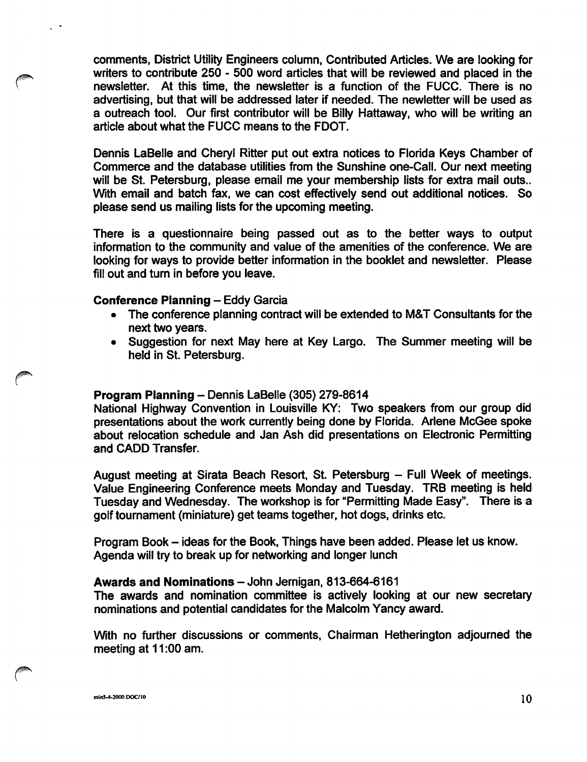comments, District Utility Engineers column, Contributed Articles. We are looking for writers to contribute 250 - 500 word articles that will be reviewed and placed in the newsletter. At this time, the newsletter is a function of the FUCC. There is no advertising, but that will be addressed later if needed. The newletter will be used as a outreach tool. Our first contributor will be Billy Hattaway, who will be writing an article about what the FUCC means to the FOOT.

Dennis LaBelle and Cheryl Ritter put out extra notices to Florida Keys Chamber of Commerce and the database utilities from the Sunshine one-Call. Our next meeting will be St. Petersburg, please email me your membership lists for extra mail outs.. With email and batch fax, we can cost effectively send out additional notices. So please send us mailing lists for the upcoming meeting.

There is a questionnaire being passed out as to the better ways to output information to the community and value of the amenities of the conference. We are looking for ways to provide better information in the booklet and newsletter. Please fill out and turn in before you leave.

#### Conference Planning - Eddy Garcia

- The conference planning contract will be extended to M&T Consultants for the next two years.
- Suggestion for next May here at Key Largo. The Summer meeting will be held in St. Petersburg.

## Program Planning - Dennis LaBelle (305) 279-8614

National Highway Convention in Louisville KY: Two speakers from our group did presentations about the work currently being done by Florida. Arlene McGee spoke about relocation schedule and Jan Ash did presentations on Electronic Permitting and CADD Transfer.

August meeting at Sirata Beach Resort, St. Petersburg - Full Week of meetings. Value Engineering Conference meets Monday and Tuesday. TRB meeting is held Tuesday and Wednesday. The workshop is for "Permitting Made Easy". There is a golf tournament (miniature) get teams together, hot dogs, drinks etc.

Program Book - ideas for the Book, Things have been added. Please let us know. Agenda will try to break up for networking and longer lunch

#### Awards and Nominations - John Jernigan, 813-664-6161

The awards and nomination committee is actively looking at our new secretary nominations and potential candidates for the Malcolm Yancy award.

With no further discussions or comments. Chairman Hetherington adjourned the meeting at 11:00 am.

min5-4-2000.DOC/10  $10$